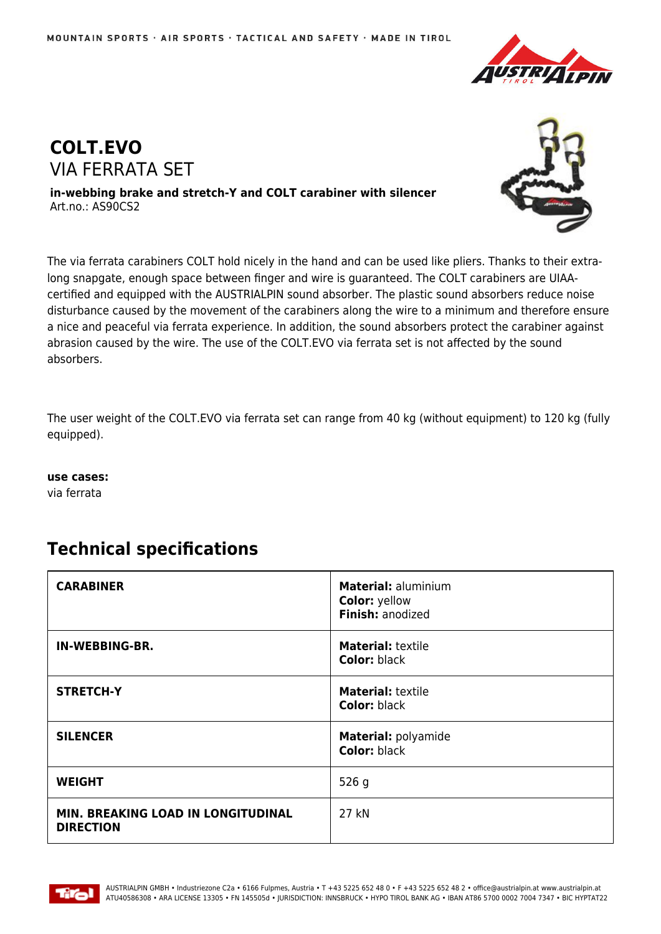



**in-webbing brake and stretch-Y and COLT carabiner with silencer** Art.no.: AS90CS2



The via ferrata carabiners COLT hold nicely in the hand and can be used like pliers. Thanks to their extralong snapgate, enough space between finger and wire is guaranteed. The COLT carabiners are UIAAcertified and equipped with the AUSTRIALPIN sound absorber. The plastic sound absorbers reduce noise disturbance caused by the movement of the carabiners along the wire to a minimum and therefore ensure a nice and peaceful via ferrata experience. In addition, the sound absorbers protect the carabiner against abrasion caused by the wire. The use of the COLT.EVO via ferrata set is not affected by the sound absorbers.

The user weight of the COLT.EVO via ferrata set can range from 40 kg (without equipment) to 120 kg (fully equipped).

**use cases:**

via ferrata

## **Technical specifications**

| <b>CARABINER</b>                                              | <b>Material: aluminium</b><br><b>Color: yellow</b><br>Finish: anodized |
|---------------------------------------------------------------|------------------------------------------------------------------------|
| IN-WEBBING-BR.                                                | <b>Material: textile</b><br><b>Color: black</b>                        |
| <b>STRETCH-Y</b>                                              | <b>Material: textile</b><br><b>Color: black</b>                        |
| <b>SILENCER</b>                                               | Material: polyamide<br><b>Color: black</b>                             |
| <b>WEIGHT</b>                                                 | 526g                                                                   |
| <b>MIN. BREAKING LOAD IN LONGITUDINAL</b><br><b>DIRECTION</b> | 27 kN                                                                  |